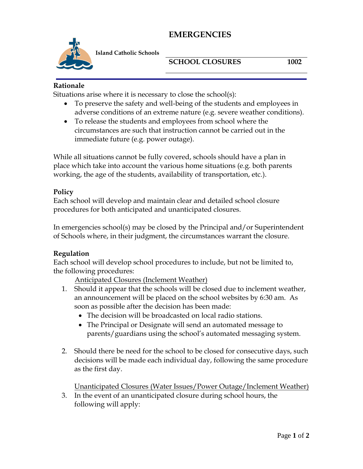# **EMERGENCIES**



**Island Catholic Schools** 

## **SCHOOL CLOSURES** 1002

#### **Rationale**

Situations arise where it is necessary to close the school(s):

- To preserve the safety and well-being of the students and employees in adverse conditions of an extreme nature (e.g. severe weather conditions).
- To release the students and employees from school where the circumstances are such that instruction cannot be carried out in the immediate future (e.g. power outage).

While all situations cannot be fully covered, schools should have a plan in place which take into account the various home situations (e.g. both parents working, the age of the students, availability of transportation, etc.).

#### **Policy**

Each school will develop and maintain clear and detailed school closure procedures for both anticipated and unanticipated closures.

In emergencies school(s) may be closed by the Principal and/or Superintendent of Schools where, in their judgment, the circumstances warrant the closure.

#### **Regulation**

Each school will develop school procedures to include, but not be limited to, the following procedures:

Anticipated Closures (Inclement Weather)

- 1. Should it appear that the schools will be closed due to inclement weather, an announcement will be placed on the school websites by 6:30 am. As soon as possible after the decision has been made:
	- The decision will be broadcasted on local radio stations.
	- The Principal or Designate will send an automated message to parents/guardians using the school's automated messaging system.
- 2. Should there be need for the school to be closed for consecutive days, such decisions will be made each individual day, following the same procedure as the first day.

Unanticipated Closures (Water Issues/Power Outage/Inclement Weather)

3. In the event of an unanticipated closure during school hours, the following will apply: